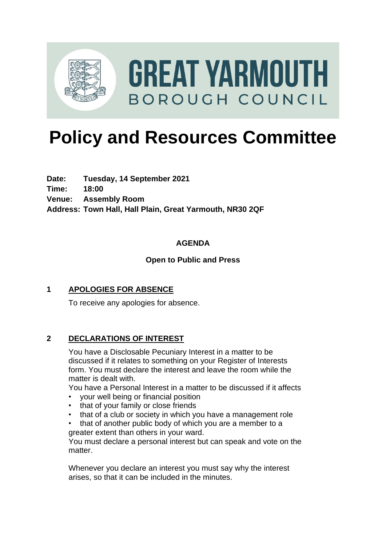

# **Policy and Resources Committee**

**Date: Tuesday, 14 September 2021 Time: 18:00 Venue: Assembly Room Address: Town Hall, Hall Plain, Great Yarmouth, NR30 2QF**

# **AGENDA**

### **Open to Public and Press**

#### **1 APOLOGIES FOR ABSENCE**

To receive any apologies for absence.

#### **2 DECLARATIONS OF INTEREST**

You have a Disclosable Pecuniary Interest in a matter to be discussed if it relates to something on your Register of Interests form. You must declare the interest and leave the room while the matter is dealt with.

You have a Personal Interest in a matter to be discussed if it affects

- your well being or financial position
- that of your family or close friends
- that of a club or society in which you have a management role

• that of another public body of which you are a member to a greater extent than others in your ward.

You must declare a personal interest but can speak and vote on the matter.

Whenever you declare an interest you must say why the interest arises, so that it can be included in the minutes.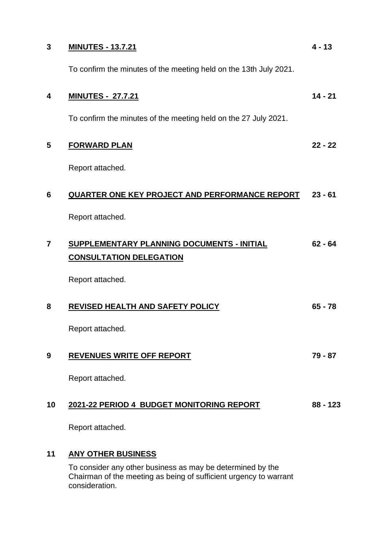| 3                       | <b>MINUTES - 13.7.21</b>                                                            | $4 - 13$   |
|-------------------------|-------------------------------------------------------------------------------------|------------|
|                         | To confirm the minutes of the meeting held on the 13th July 2021.                   |            |
| 4                       | <b>MINUTES - 27.7.21</b>                                                            | $14 - 21$  |
|                         | To confirm the minutes of the meeting held on the 27 July 2021.                     |            |
| 5                       | <b>FORWARD PLAN</b>                                                                 | $22 - 22$  |
|                         | Report attached.                                                                    |            |
| 6                       | QUARTER ONE KEY PROJECT AND PERFORMANCE REPORT                                      | $23 - 61$  |
|                         | Report attached.                                                                    |            |
| $\overline{\mathbf{7}}$ | <b>SUPPLEMENTARY PLANNING DOCUMENTS - INITIAL</b><br><b>CONSULTATION DELEGATION</b> | $62 - 64$  |
|                         | Report attached.                                                                    |            |
| 8                       | REVISED HEALTH AND SAFETY POLICY                                                    | $65 - 78$  |
|                         | Report attached.                                                                    |            |
| 9                       | <b>REVENUES WRITE OFF REPORT</b>                                                    | 79 - 87    |
|                         | Report attached.                                                                    |            |
| 10                      | 2021-22 PERIOD 4 BUDGET MONITORING REPORT                                           | $88 - 123$ |
|                         | Report attached.                                                                    |            |
| 11                      | <b>ANY OTHER BUSINESS</b>                                                           |            |
|                         | To consider any other husiness as may be determined by the                          |            |

To consider any other business as may be determined by the Chairman of the meeting as being of sufficient urgency to warrant consideration.